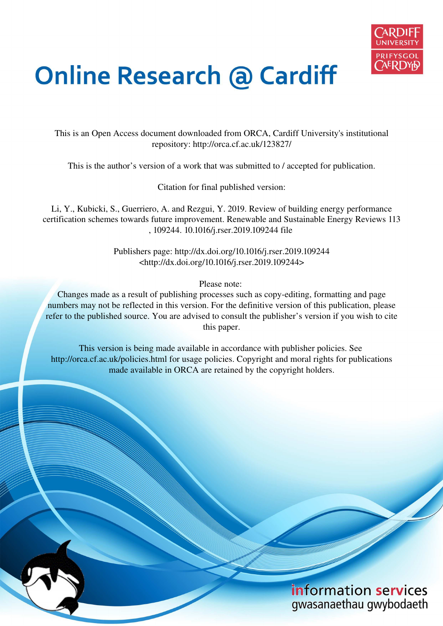

# **Online Research @ Cardiff**

This is an Open Access document downloaded from ORCA, Cardiff University's institutional repository: http://orca.cf.ac.uk/123827/

This is the author's version of a work that was submitted to / accepted for publication.

Citation for final published version:

Li, Y., Kubicki, S., Guerriero, A. and Rezgui, Y. 2019. Review of building energy performance certification schemes towards future improvement. Renewable and Sustainable Energy Reviews 113 , 109244. 10.1016/j.rser.2019.109244 file

> Publishers page: http://dx.doi.org/10.1016/j.rser.2019.109244 <http://dx.doi.org/10.1016/j.rser.2019.109244>

> > Please note:

Changes made as a result of publishing processes such as copy-editing, formatting and page numbers may not be reflected in this version. For the definitive version of this publication, please refer to the published source. You are advised to consult the publisher's version if you wish to cite this paper.

This version is being made available in accordance with publisher policies. See http://orca.cf.ac.uk/policies.html for usage policies. Copyright and moral rights for publications made available in ORCA are retained by the copyright holders.

> information services gwasanaethau gwybodaeth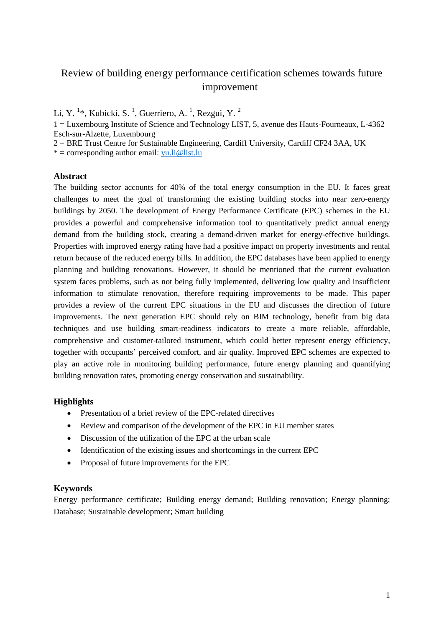# Review of building energy performance certification schemes towards future improvement

Li, Y.  $1*$ , Kubicki, S.  $1$ , Guerriero, A.  $1$ , Rezgui, Y.  $2$ 

1 = Luxembourg Institute of Science and Technology LIST, 5, avenue des Hauts-Fourneaux, L-4362 Esch-sur-Alzette, Luxembourg

2 = BRE Trust Centre for Sustainable Engineering, Cardiff University, Cardiff CF24 3AA, UK

 $* =$  corresponding author email: yu.li@list.lu

# **Abstract**

The building sector accounts for 40% of the total energy consumption in the EU. It faces great challenges to meet the goal of transforming the existing building stocks into near zero-energy buildings by 2050. The development of Energy Performance Certificate (EPC) schemes in the EU provides a powerful and comprehensive information tool to quantitatively predict annual energy demand from the building stock, creating a demand-driven market for energy-effective buildings. Properties with improved energy rating have had a positive impact on property investments and rental return because of the reduced energy bills. In addition, the EPC databases have been applied to energy planning and building renovations. However, it should be mentioned that the current evaluation system faces problems, such as not being fully implemented, delivering low quality and insufficient information to stimulate renovation, therefore requiring improvements to be made. This paper provides a review of the current EPC situations in the EU and discusses the direction of future improvements. The next generation EPC should rely on BIM technology, benefit from big data techniques and use building smart-readiness indicators to create a more reliable, affordable, comprehensive and customer-tailored instrument, which could better represent energy efficiency, together with occupants' perceived comfort, and air quality. Improved EPC schemes are expected to play an active role in monitoring building performance, future energy planning and quantifying building renovation rates, promoting energy conservation and sustainability.

# **Highlights**

- Presentation of a brief review of the EPC-related directives
- Review and comparison of the development of the EPC in EU member states
- Discussion of the utilization of the EPC at the urban scale
- Identification of the existing issues and shortcomings in the current EPC
- Proposal of future improvements for the EPC

# **Keywords**

Energy performance certificate; Building energy demand; Building renovation; Energy planning; Database; Sustainable development; Smart building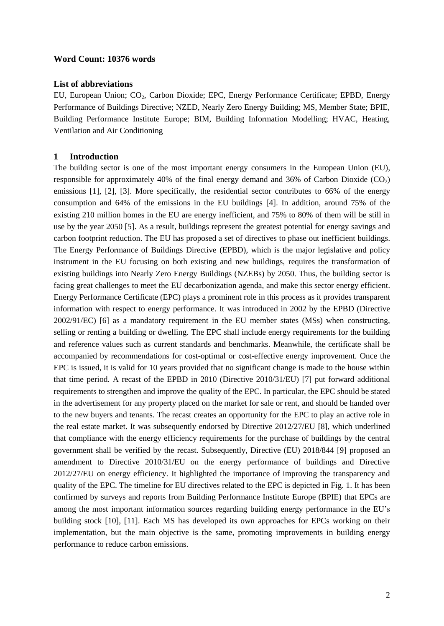#### **Word Count: 10376 words**

### **List of abbreviations**

EU, European Union; CO<sub>2</sub>, Carbon Dioxide; EPC, Energy Performance Certificate; EPBD, Energy Performance of Buildings Directive; NZED, Nearly Zero Energy Building; MS, Member State; BPIE, Building Performance Institute Europe; BIM, Building Information Modelling; HVAC, Heating, Ventilation and Air Conditioning

#### **1 Introduction**

The building sector is one of the most important energy consumers in the European Union (EU), responsible for approximately 40% of the final energy demand and 36% of Carbon Dioxide  $(CO<sub>2</sub>)$ emissions [1], [2], [3]. More specifically, the residential sector contributes to 66% of the energy consumption and 64% of the emissions in the EU buildings [4]. In addition, around 75% of the existing 210 million homes in the EU are energy inefficient, and 75% to 80% of them will be still in use by the year 2050 [5]. As a result, buildings represent the greatest potential for energy savings and carbon footprint reduction. The EU has proposed a set of directives to phase out inefficient buildings. The Energy Performance of Buildings Directive (EPBD), which is the major legislative and policy instrument in the EU focusing on both existing and new buildings, requires the transformation of existing buildings into Nearly Zero Energy Buildings (NZEBs) by 2050. Thus, the building sector is facing great challenges to meet the EU decarbonization agenda, and make this sector energy efficient. Energy Performance Certificate (EPC) plays a prominent role in this process as it provides transparent information with respect to energy performance. It was introduced in 2002 by the EPBD (Directive 2002/91/EC) [6] as a mandatory requirement in the EU member states (MSs) when constructing, selling or renting a building or dwelling. The EPC shall include energy requirements for the building and reference values such as current standards and benchmarks. Meanwhile, the certificate shall be accompanied by recommendations for cost-optimal or cost-effective energy improvement. Once the EPC is issued, it is valid for 10 years provided that no significant change is made to the house within that time period. A recast of the EPBD in 2010 (Directive 2010/31/EU) [7] put forward additional requirements to strengthen and improve the quality of the EPC. In particular, the EPC should be stated in the advertisement for any property placed on the market for sale or rent, and should be handed over to the new buyers and tenants. The recast creates an opportunity for the EPC to play an active role in the real estate market. It was subsequently endorsed by Directive 2012/27/EU [8], which underlined that compliance with the energy efficiency requirements for the purchase of buildings by the central government shall be verified by the recast. Subsequently, Directive (EU) 2018/844 [9] proposed an amendment to Directive 2010/31/EU on the energy performance of buildings and Directive 2012/27/EU on energy efficiency. It highlighted the importance of improving the transparency and quality of the EPC. The timeline for EU directives related to the EPC is depicted in [Fig. 1.](#page-3-0) It has been confirmed by surveys and reports from Building Performance Institute Europe (BPIE) that EPCs are among the most important information sources regarding building energy performance in the EU's building stock [10], [11]. Each MS has developed its own approaches for EPCs working on their implementation, but the main objective is the same, promoting improvements in building energy performance to reduce carbon emissions.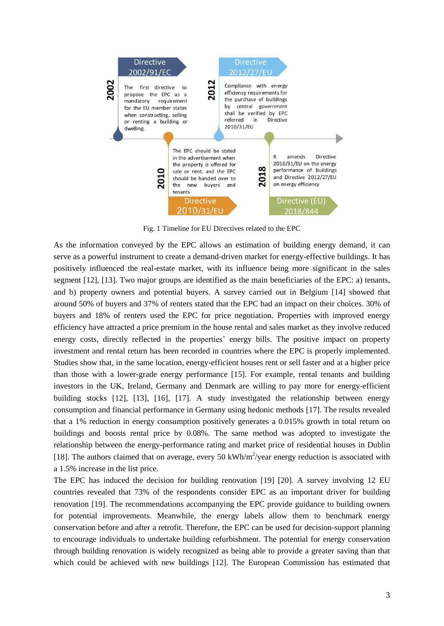

Fig. 1 Timeline for EU Directives related to the EPC

<span id="page-3-0"></span>As the information conveyed by the EPC allows an estimation of building energy demand, it can serve as a powerful instrument to create a demand-driven market for energy-effective buildings. It has positively influenced the real-estate market, with its influence being more significant in the sales segment [12], [13]. Two major groups are identified as the main beneficiaries of the EPC: a) tenants, and b) property owners and potential buyers. A survey carried out in Belgium [14] showed that around 50% of buyers and 37% of renters stated that the EPC had an impact on their choices. 30% of buyers and 18% of renters used the EPC for price negotiation. Properties with improved energy efficiency have attracted a price premium in the house rental and sales market as they involve reduced energy costs, directly reflected in the properties' energy bills. The positive impact on property investment and rental return has been recorded in countries where the EPC is properly implemented. Studies show that, in the same location, energy-efficient houses rent or sell faster and at a higher price than those with a lower-grade energy performance [15]. For example, rental tenants and building investors in the UK, Ireland, Germany and Denmark are willing to pay more for energy-efficient building stocks [12], [13], [16], [17]. A study investigated the relationship between energy consumption and financial performance in Germany using hedonic methods [17]. The results revealed that a 1% reduction in energy consumption positively generates a 0.015% growth in total return on buildings and boosts rental price by 0.08%. The same method was adopted to investigate the relationship between the energy-performance rating and market price of residential houses in Dublin [18]. The authors claimed that on average, every 50 kWh/ $m^2$ /year energy reduction is associated with a 1.5% increase in the list price.

The EPC has induced the decision for building renovation [19] [20]. A survey involving 12 EU countries revealed that 73% of the respondents consider EPC as an important driver for building renovation [19]. The recommendations accompanying the EPC provide guidance to building owners for potential improvements. Meanwhile, the energy labels allow them to benchmark energy conservation before and after a retrofit. Therefore, the EPC can be used for decision-support planning to encourage individuals to undertake building refurbishment. The potential for energy conservation through building renovation is widely recognized as being able to provide a greater saving than that which could be achieved with new buildings [12]. The European Commission has estimated that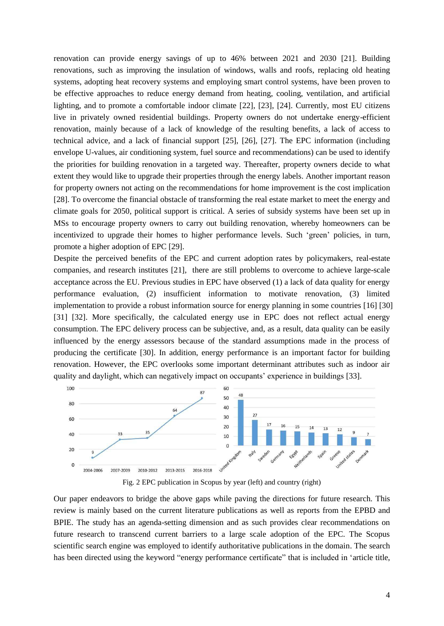renovation can provide energy savings of up to 46% between 2021 and 2030 [21]. Building renovations, such as improving the insulation of windows, walls and roofs, replacing old heating systems, adopting heat recovery systems and employing smart control systems, have been proven to be effective approaches to reduce energy demand from heating, cooling, ventilation, and artificial lighting, and to promote a comfortable indoor climate [22], [23], [24]. Currently, most EU citizens live in privately owned residential buildings. Property owners do not undertake energy-efficient renovation, mainly because of a lack of knowledge of the resulting benefits, a lack of access to technical advice, and a lack of financial support [25], [26], [27]. The EPC information (including envelope U-values, air conditioning system, fuel source and recommendations) can be used to identify the priorities for building renovation in a targeted way. Thereafter, property owners decide to what extent they would like to upgrade their properties through the energy labels. Another important reason for property owners not acting on the recommendations for home improvement is the cost implication [28]. To overcome the financial obstacle of transforming the real estate market to meet the energy and climate goals for 2050, political support is critical. A series of subsidy systems have been set up in MSs to encourage property owners to carry out building renovation, whereby homeowners can be incentivized to upgrade their homes to higher performance levels. Such 'green' policies, in turn, promote a higher adoption of EPC [29].

Despite the perceived benefits of the EPC and current adoption rates by policymakers, real-estate companies, and research institutes [21], there are still problems to overcome to achieve large-scale acceptance across the EU. Previous studies in EPC have observed (1) a lack of data quality for energy performance evaluation, (2) insufficient information to motivate renovation, (3) limited implementation to provide a robust information source for energy planning in some countries [16] [30] [31] [32]. More specifically, the calculated energy use in EPC does not reflect actual energy consumption. The EPC delivery process can be subjective, and, as a result, data quality can be easily influenced by the energy assessors because of the standard assumptions made in the process of producing the certificate [30]. In addition, energy performance is an important factor for building renovation. However, the EPC overlooks some important determinant attributes such as indoor air quality and daylight, which can negatively impact on occupants' experience in buildings [33].





<span id="page-4-0"></span>Our paper endeavors to bridge the above gaps while paving the directions for future research. This review is mainly based on the current literature publications as well as reports from the EPBD and BPIE. The study has an agenda-setting dimension and as such provides clear recommendations on future research to transcend current barriers to a large scale adoption of the EPC. The Scopus scientific search engine was employed to identify authoritative publications in the domain. The search has been directed using the keyword "energy performance certificate" that is included in 'article title,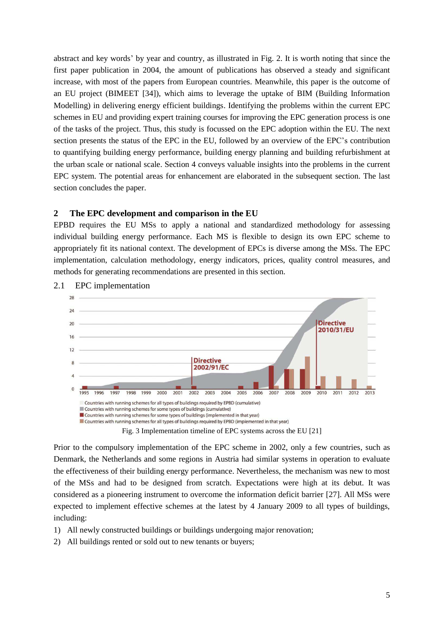abstract and key words' by year and country, as illustrated in [Fig. 2.](#page-4-0) It is worth noting that since the first paper publication in 2004, the amount of publications has observed a steady and significant increase, with most of the papers from European countries. Meanwhile, this paper is the outcome of an EU project (BIMEET [34]), which aims to leverage the uptake of BIM (Building Information Modelling) in delivering energy efficient buildings. Identifying the problems within the current EPC schemes in EU and providing expert training courses for improving the EPC generation process is one of the tasks of the project. Thus, this study is focussed on the EPC adoption within the EU. The next section presents the status of the EPC in the EU, followed by an overview of the EPC's contribution to quantifying building energy performance, building energy planning and building refurbishment at the urban scale or national scale. Section 4 conveys valuable insights into the problems in the current EPC system. The potential areas for enhancement are elaborated in the subsequent section. The last section concludes the paper.

# **2 The EPC development and comparison in the EU**

EPBD requires the EU MSs to apply a national and standardized methodology for assessing individual building energy performance. Each MS is flexible to design its own EPC scheme to appropriately fit its national context. The development of EPCs is diverse among the MSs. The EPC implementation, calculation methodology, energy indicators, prices, quality control measures, and methods for generating recommendations are presented in this section.



2.1 EPC implementation

<span id="page-5-0"></span>Prior to the compulsory implementation of the EPC scheme in 2002, only a few countries, such as Denmark, the Netherlands and some regions in Austria had similar systems in operation to evaluate the effectiveness of their building energy performance. Nevertheless, the mechanism was new to most of the MSs and had to be designed from scratch. Expectations were high at its debut. It was considered as a pioneering instrument to overcome the information deficit barrier [27]. All MSs were expected to implement effective schemes at the latest by 4 January 2009 to all types of buildings, including:

- 1) All newly constructed buildings or buildings undergoing major renovation;
- 2) All buildings rented or sold out to new tenants or buyers;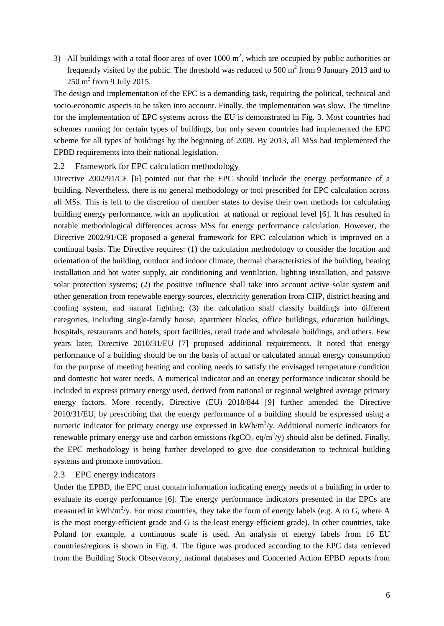3) All buildings with a total floor area of over  $1000 \text{ m}^2$ , which are occupied by public authorities or frequently visited by the public. The threshold was reduced to 500  $m<sup>2</sup>$  from 9 January 2013 and to  $250 \text{ m}^2$  from 9 July 2015.

The design and implementation of the EPC is a demanding task, requiring the political, technical and socio-economic aspects to be taken into account. Finally, the implementation was slow. The timeline for the implementation of EPC systems across the EU is demonstrated in [Fig. 3.](#page-5-0) Most countries had schemes running for certain types of buildings, but only seven countries had implemented the EPC scheme for all types of buildings by the beginning of 2009. By 2013, all MSs had implemented the EPBD requirements into their national legislation.

#### 2.2 Framework for EPC calculation methodology

Directive 2002/91/CE [6] pointed out that the EPC should include the energy performance of a building. Nevertheless, there is no general methodology or tool prescribed for EPC calculation across all MSs. This is left to the discretion of member states to devise their own methods for calculating building energy performance, with an application at national or regional level [6]. It has resulted in notable methodological differences across MSs for energy performance calculation. However, the Directive 2002/91/CE proposed a general framework for EPC calculation which is improved on a continual basis. The Directive requires: (1) the calculation methodology to consider the location and orientation of the building, outdoor and indoor climate, thermal characteristics of the building, heating installation and hot water supply, air conditioning and ventilation, lighting installation, and passive solar protection systems; (2) the positive influence shall take into account active solar system and other generation from renewable energy sources, electricity generation from CHP, district heating and cooling system, and natural lighting; (3) the calculation shall classify buildings into different categories, including single-family house, apartment blocks, office buildings, education buildings, hospitals, restaurants and hotels, sport facilities, retail trade and wholesale buildings, and others. Few years later, Directive 2010/31/EU [7] proposed additional requirements. It noted that energy performance of a building should be on the basis of actual or calculated annual energy consumption for the purpose of meeting heating and cooling needs to satisfy the envisaged temperature condition and domestic hot water needs. A numerical indicator and an energy performance indicator should be included to express primary energy used, derived from national or regional weighted average primary energy factors. More recently, Directive (EU) 2018/844 [9] further amended the Directive 2010/31/EU, by prescribing that the energy performance of a building should be expressed using a numeric indicator for primary energy use expressed in  $kWh/m^2/y$ . Additional numeric indicators for renewable primary energy use and carbon emissions (kgCO<sub>2</sub> eq/m<sup>2</sup>/y) should also be defined. Finally, the EPC methodology is being further developed to give due consideration to technical building systems and promote innovation.

#### 2.3 EPC energy indicators

Under the EPBD, the EPC must contain information indicating energy needs of a building in order to evaluate its energy performance [6]. The energy performance indicators presented in the EPCs are measured in  $kWh/m^2/y$ . For most countries, they take the form of energy labels (e.g. A to G, where A is the most energy-efficient grade and G is the least energy-efficient grade). In other countries, take Poland for example, a continuous scale is used. An analysis of energy labels from 16 EU countries/regions is shown in [Fig. 4.](#page-7-0) The figure was produced according to the EPC data retrieved from the Building Stock Observatory, national databases and Concerted Action EPBD reports from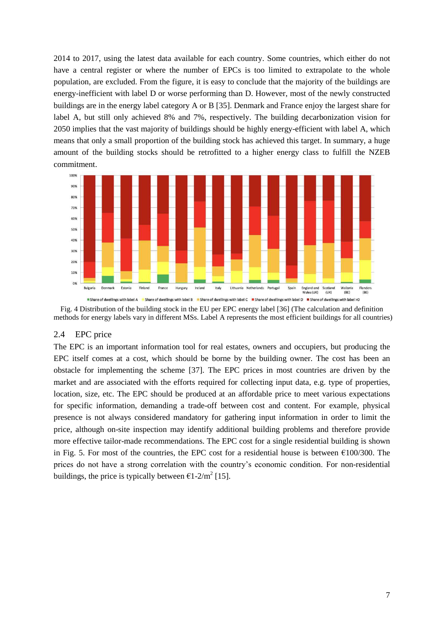2014 to 2017, using the latest data available for each country. Some countries, which either do not have a central register or where the number of EPCs is too limited to extrapolate to the whole population, are excluded. From the figure, it is easy to conclude that the majority of the buildings are energy-inefficient with label D or worse performing than D. However, most of the newly constructed buildings are in the energy label category A or B [35]. Denmark and France enjoy the largest share for label A, but still only achieved 8% and 7%, respectively. The building decarbonization vision for 2050 implies that the vast majority of buildings should be highly energy-efficient with label A, which means that only a small proportion of the building stock has achieved this target. In summary, a huge amount of the building stocks should be retrofitted to a higher energy class to fulfill the NZEB commitment.



<span id="page-7-0"></span>Fig. 4 Distribution of the building stock in the EU per EPC energy label [36] (The calculation and definition methods for energy labels vary in different MSs. Label A represents the most efficient buildings for all countries)

#### 2.4 EPC price

The EPC is an important information tool for real estates, owners and occupiers, but producing the EPC itself comes at a cost, which should be borne by the building owner. The cost has been an obstacle for implementing the scheme [37]. The EPC prices in most countries are driven by the market and are associated with the efforts required for collecting input data, e.g. type of properties, location, size, etc. The EPC should be produced at an affordable price to meet various expectations for specific information, demanding a trade-off between cost and content. For example, physical presence is not always considered mandatory for gathering input information in order to limit the price, although on-site inspection may identify additional building problems and therefore provide more effective tailor-made recommendations. The EPC cost for a single residential building is shown in [Fig. 5.](#page-8-0) For most of the countries, the EPC cost for a residential house is between  $\epsilon$ 100/300. The prices do not have a strong correlation with the country's economic condition. For non-residential buildings, the price is typically between  $\epsilon$ 1-2/m<sup>2</sup> [15].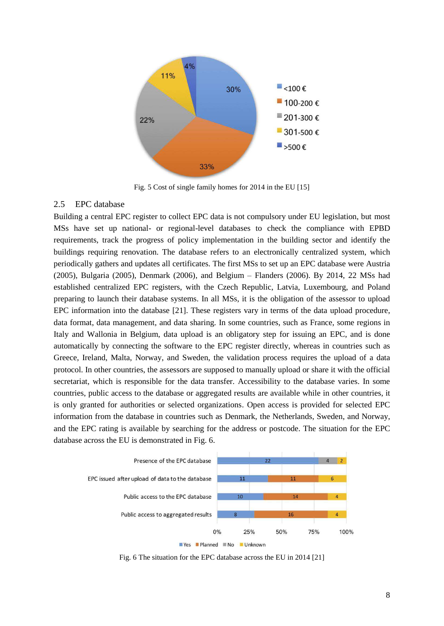

Fig. 5 Cost of single family homes for 2014 in the EU [15]

#### <span id="page-8-0"></span>2.5 EPC database

Building a central EPC register to collect EPC data is not compulsory under EU legislation, but most MSs have set up national- or regional-level databases to check the compliance with EPBD requirements, track the progress of policy implementation in the building sector and identify the buildings requiring renovation. The database refers to an electronically centralized system, which periodically gathers and updates all certificates. The first MSs to set up an EPC database were Austria (2005), Bulgaria (2005), Denmark (2006), and Belgium – Flanders (2006). By 2014, 22 MSs had established centralized EPC registers, with the Czech Republic, Latvia, Luxembourg, and Poland preparing to launch their database systems. In all MSs, it is the obligation of the assessor to upload EPC information into the database [21]. These registers vary in terms of the data upload procedure, data format, data management, and data sharing. In some countries, such as France, some regions in Italy and Wallonia in Belgium, data upload is an obligatory step for issuing an EPC, and is done automatically by connecting the software to the EPC register directly, whereas in countries such as Greece, Ireland, Malta, Norway, and Sweden, the validation process requires the upload of a data protocol. In other countries, the assessors are supposed to manually upload or share it with the official secretariat, which is responsible for the data transfer. Accessibility to the database varies. In some countries, public access to the database or aggregated results are available while in other countries, it is only granted for authorities or selected organizations. Open access is provided for selected EPC information from the database in countries such as Denmark, the Netherlands, Sweden, and Norway, and the EPC rating is available by searching for the address or postcode. The situation for the EPC database across the EU is demonstrated in [Fig. 6.](#page-8-1)



<span id="page-8-1"></span>Fig. 6 The situation for the EPC database across the EU in 2014 [21]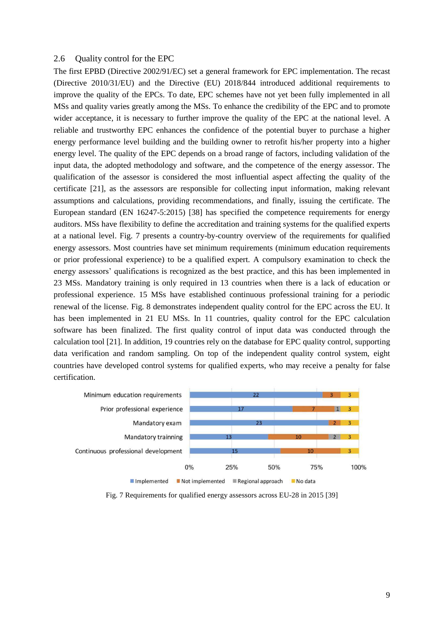#### 2.6 Quality control for the EPC

The first EPBD (Directive 2002/91/EC) set a general framework for EPC implementation. The recast (Directive 2010/31/EU) and the Directive (EU) 2018/844 introduced additional requirements to improve the quality of the EPCs. To date, EPC schemes have not yet been fully implemented in all MSs and quality varies greatly among the MSs. To enhance the credibility of the EPC and to promote wider acceptance, it is necessary to further improve the quality of the EPC at the national level. A reliable and trustworthy EPC enhances the confidence of the potential buyer to purchase a higher energy performance level building and the building owner to retrofit his/her property into a higher energy level. The quality of the EPC depends on a broad range of factors, including validation of the input data, the adopted methodology and software, and the competence of the energy assessor. The qualification of the assessor is considered the most influential aspect affecting the quality of the certificate [21], as the assessors are responsible for collecting input information, making relevant assumptions and calculations, providing recommendations, and finally, issuing the certificate. The European standard (EN 16247-5:2015) [38] has specified the competence requirements for energy auditors. MSs have flexibility to define the accreditation and training systems for the qualified experts at a national level. [Fig. 7](#page-9-0) presents a country-by-country overview of the requirements for qualified energy assessors. Most countries have set minimum requirements (minimum education requirements or prior professional experience) to be a qualified expert. A compulsory examination to check the energy assessors' qualifications is recognized as the best practice, and this has been implemented in 23 MSs. Mandatory training is only required in 13 countries when there is a lack of education or professional experience. 15 MSs have established continuous professional training for a periodic renewal of the license. [Fig. 8](#page-10-0) demonstrates independent quality control for the EPC across the EU. It has been implemented in 21 EU MSs. In 11 countries, quality control for the EPC calculation software has been finalized. The first quality control of input data was conducted through the calculation tool [21]. In addition, 19 countries rely on the database for EPC quality control, supporting data verification and random sampling. On top of the independent quality control system, eight countries have developed control systems for qualified experts, who may receive a penalty for false certification.



<span id="page-9-0"></span>Fig. 7 Requirements for qualified energy assessors across EU-28 in 2015 [39]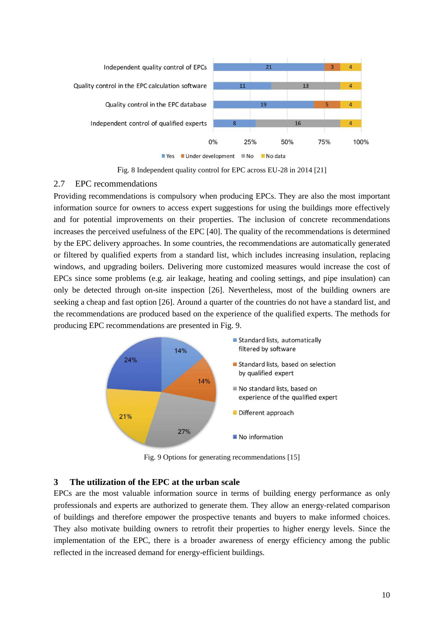

Fig. 8 Independent quality control for EPC across EU-28 in 2014 [21]

# <span id="page-10-0"></span>2.7 EPC recommendations

Providing recommendations is compulsory when producing EPCs. They are also the most important information source for owners to access expert suggestions for using the buildings more effectively and for potential improvements on their properties. The inclusion of concrete recommendations increases the perceived usefulness of the EPC [40]. The quality of the recommendations is determined by the EPC delivery approaches. In some countries, the recommendations are automatically generated or filtered by qualified experts from a standard list, which includes increasing insulation, replacing windows, and upgrading boilers. Delivering more customized measures would increase the cost of EPCs since some problems (e.g. air leakage, heating and cooling settings, and pipe insulation) can only be detected through on-site inspection [26]. Nevertheless, most of the building owners are seeking a cheap and fast option [26]. Around a quarter of the countries do not have a standard list, and the recommendations are produced based on the experience of the qualified experts. The methods for producing EPC recommendations are presented in [Fig. 9.](#page-10-1)



Fig. 9 Options for generating recommendations [15]

# <span id="page-10-2"></span><span id="page-10-1"></span>**3 The utilization of the EPC at the urban scale**

EPCs are the most valuable information source in terms of building energy performance as only professionals and experts are authorized to generate them. They allow an energy-related comparison of buildings and therefore empower the prospective tenants and buyers to make informed choices. They also motivate building owners to retrofit their properties to higher energy levels. Since the implementation of the EPC, there is a broader awareness of energy efficiency among the public reflected in the increased demand for energy-efficient buildings.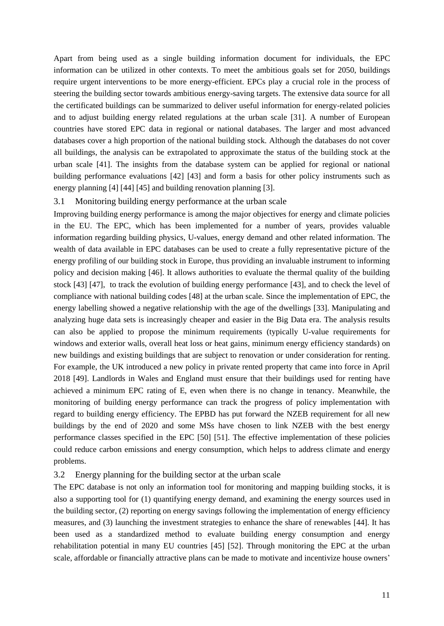Apart from being used as a single building information document for individuals, the EPC information can be utilized in other contexts. To meet the ambitious goals set for 2050, buildings require urgent interventions to be more energy-efficient. EPCs play a crucial role in the process of steering the building sector towards ambitious energy-saving targets. The extensive data source for all the certificated buildings can be summarized to deliver useful information for energy-related policies and to adjust building energy related regulations at the urban scale [31]. A number of European countries have stored EPC data in regional or national databases. The larger and most advanced databases cover a high proportion of the national building stock. Although the databases do not cover all buildings, the analysis can be extrapolated to approximate the status of the building stock at the urban scale [41]. The insights from the database system can be applied for regional or national building performance evaluations [42] [43] and form a basis for other policy instruments such as energy planning [4] [44] [45] and building renovation planning [3].

# 3.1 Monitoring building energy performance at the urban scale

Improving building energy performance is among the major objectives for energy and climate policies in the EU. The EPC, which has been implemented for a number of years, provides valuable information regarding building physics, U-values, energy demand and other related information. The wealth of data available in EPC databases can be used to create a fully representative picture of the energy profiling of our building stock in Europe, thus providing an invaluable instrument to informing policy and decision making [46]. It allows authorities to evaluate the thermal quality of the building stock [43] [47], to track the evolution of building energy performance [43], and to check the level of compliance with national building codes [48] at the urban scale*.* Since the implementation of EPC, the energy labelling showed a negative relationship with the age of the dwellings [33]. Manipulating and analyzing huge data sets is increasingly cheaper and easier in the Big Data era. The analysis results can also be applied to propose the minimum requirements (typically U-value requirements for windows and exterior walls, overall heat loss or heat gains, minimum energy efficiency standards) on new buildings and existing buildings that are subject to renovation or under consideration for renting. For example, the UK introduced a new policy in private rented property that came into force in April 2018 [49]. Landlords in Wales and England must ensure that their buildings used for renting have achieved a minimum EPC rating of E, even when there is no change in tenancy. Meanwhile, the monitoring of building energy performance can track the progress of policy implementation with regard to building energy efficiency. The EPBD has put forward the NZEB requirement for all new buildings by the end of 2020 and some MSs have chosen to link NZEB with the best energy performance classes specified in the EPC [50] [51]. The effective implementation of these policies could reduce carbon emissions and energy consumption, which helps to address climate and energy problems.

## 3.2 Energy planning for the building sector at the urban scale

The EPC database is not only an information tool for monitoring and mapping building stocks, it is also a supporting tool for (1) quantifying energy demand, and examining the energy sources used in the building sector, (2) reporting on energy savings following the implementation of energy efficiency measures, and (3) launching the investment strategies to enhance the share of renewables [44]. It has been used as a standardized method to evaluate building energy consumption and energy rehabilitation potential in many EU countries [45] [52]. Through monitoring the EPC at the urban scale, affordable or financially attractive plans can be made to motivate and incentivize house owners'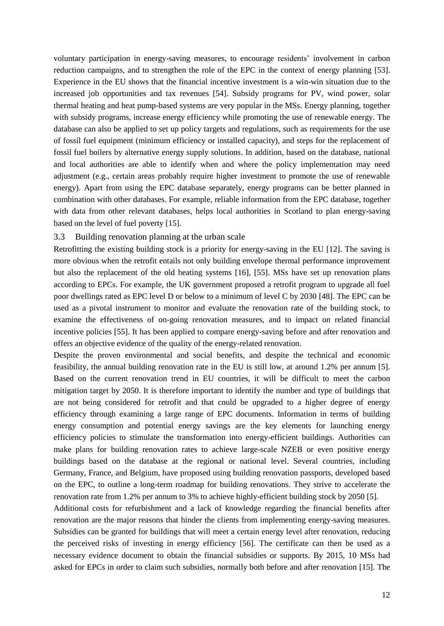voluntary participation in energy-saving measures, to encourage residents' involvement in carbon reduction campaigns, and to strengthen the role of the EPC in the context of energy planning [53]. Experience in the EU shows that the financial incentive investment is a win-win situation due to the increased job opportunities and tax revenues [54]. Subsidy programs for PV, wind power, solar thermal heating and heat pump-based systems are very popular in the MSs. Energy planning, together with subsidy programs, increase energy efficiency while promoting the use of renewable energy. The database can also be applied to set up policy targets and regulations, such as requirements for the use of fossil fuel equipment (minimum efficiency or installed capacity), and steps for the replacement of fossil fuel boilers by alternative energy supply solutions. In addition, based on the database, national and local authorities are able to identify when and where the policy implementation may need adjustment (e.g., certain areas probably require higher investment to promote the use of renewable energy). Apart from using the EPC database separately, energy programs can be better planned in combination with other databases. For example, reliable information from the EPC database, together with data from other relevant databases, helps local authorities in Scotland to plan energy-saving based on the level of fuel poverty [15].

#### 3.3 Building renovation planning at the urban scale

Retrofitting the existing building stock is a priority for energy-saving in the EU [12]. The saving is more obvious when the retrofit entails not only building envelope thermal performance improvement but also the replacement of the old heating systems [16], [55]. MSs have set up renovation plans according to EPCs. For example, the UK government proposed a retrofit program to upgrade all fuel poor dwellings rated as EPC level D or below to a minimum of level C by 2030 [48]. The EPC can be used as a pivotal instrument to monitor and evaluate the renovation rate of the building stock, to examine the effectiveness of on-going renovation measures, and to impact on related financial incentive policies [55]. It has been applied to compare energy-saving before and after renovation and offers an objective evidence of the quality of the energy-related renovation.

Despite the proven environmental and social benefits, and despite the technical and economic feasibility, the annual building renovation rate in the EU is still low, at around 1.2% per annum [5]. Based on the current renovation trend in EU countries, it will be difficult to meet the carbon mitigation target by 2050. It is therefore important to identify the number and type of buildings that are not being considered for retrofit and that could be upgraded to a higher degree of energy efficiency through examining a large range of EPC documents. Information in terms of building energy consumption and potential energy savings are the key elements for launching energy efficiency policies to stimulate the transformation into energy-efficient buildings. Authorities can make plans for building renovation rates to achieve large-scale NZEB or even positive energy buildings based on the database at the regional or national level. Several countries, including Germany, France, and Belgium, have proposed using building renovation passports, developed based on the EPC, to outline a long-term roadmap for building renovations. They strive to accelerate the renovation rate from 1.2% per annum to 3% to achieve highly-efficient building stock by 2050 [5].

Additional costs for refurbishment and a lack of knowledge regarding the financial benefits after renovation are the major reasons that hinder the clients from implementing energy-saving measures. Subsidies can be granted for buildings that will meet a certain energy level after renovation, reducing the perceived risks of investing in energy efficiency [56]. The certificate can then be used as a necessary evidence document to obtain the financial subsidies or supports. By 2015, 10 MSs had asked for EPCs in order to claim such subsidies, normally both before and after renovation [15]. The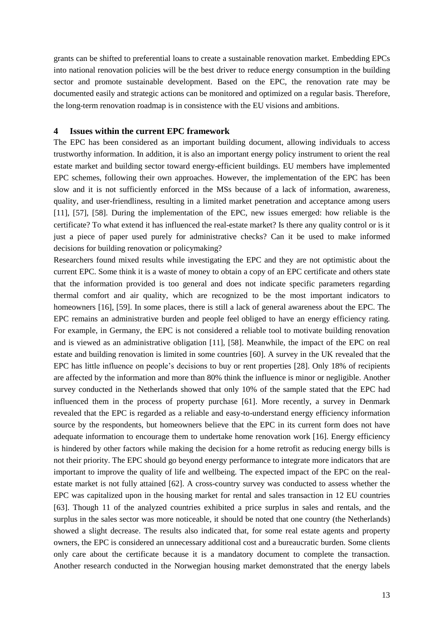grants can be shifted to preferential loans to create a sustainable renovation market. Embedding EPCs into national renovation policies will be the best driver to reduce energy consumption in the building sector and promote sustainable development. Based on the EPC, the renovation rate may be documented easily and strategic actions can be monitored and optimized on a regular basis. Therefore, the long-term renovation roadmap is in consistence with the EU visions and ambitions.

#### **4 Issues within the current EPC framework**

The EPC has been considered as an important building document, allowing individuals to access trustworthy information. In addition, it is also an important energy policy instrument to orient the real estate market and building sector toward energy-efficient buildings. EU members have implemented EPC schemes, following their own approaches. However, the implementation of the EPC has been slow and it is not sufficiently enforced in the MSs because of a lack of information, awareness, quality, and user-friendliness, resulting in a limited market penetration and acceptance among users [11], [57], [58]. During the implementation of the EPC, new issues emerged: how reliable is the certificate? To what extend it has influenced the real-estate market? Is there any quality control or is it just a piece of paper used purely for administrative checks? Can it be used to make informed decisions for building renovation or policymaking?

Researchers found mixed results while investigating the EPC and they are not optimistic about the current EPC. Some think it is a waste of money to obtain a copy of an EPC certificate and others state that the information provided is too general and does not indicate specific parameters regarding thermal comfort and air quality, which are recognized to be the most important indicators to homeowners [16], [59]. In some places, there is still a lack of general awareness about the EPC. The EPC remains an administrative burden and people feel obliged to have an energy efficiency rating. For example, in Germany, the EPC is not considered a reliable tool to motivate building renovation and is viewed as an administrative obligation [11], [58]. Meanwhile, the impact of the EPC on real estate and building renovation is limited in some countries [60]. A survey in the UK revealed that the EPC has little influence on people's decisions to buy or rent properties [28]. Only 18% of recipients are affected by the information and more than 80% think the influence is minor or negligible. Another survey conducted in the Netherlands showed that only 10% of the sample stated that the EPC had influenced them in the process of property purchase [61]. More recently, a survey in Denmark revealed that the EPC is regarded as a reliable and easy-to-understand energy efficiency information source by the respondents, but homeowners believe that the EPC in its current form does not have adequate information to encourage them to undertake home renovation work [16]. Energy efficiency is hindered by other factors while making the decision for a home retrofit as reducing energy bills is not their priority. The EPC should go beyond energy performance to integrate more indicators that are important to improve the quality of life and wellbeing. The expected impact of the EPC on the realestate market is not fully attained [62]. A cross-country survey was conducted to assess whether the EPC was capitalized upon in the housing market for rental and sales transaction in 12 EU countries [63]. Though 11 of the analyzed countries exhibited a price surplus in sales and rentals, and the surplus in the sales sector was more noticeable, it should be noted that one country (the Netherlands) showed a slight decrease. The results also indicated that, for some real estate agents and property owners, the EPC is considered an unnecessary additional cost and a bureaucratic burden. Some clients only care about the certificate because it is a mandatory document to complete the transaction. Another research conducted in the Norwegian housing market demonstrated that the energy labels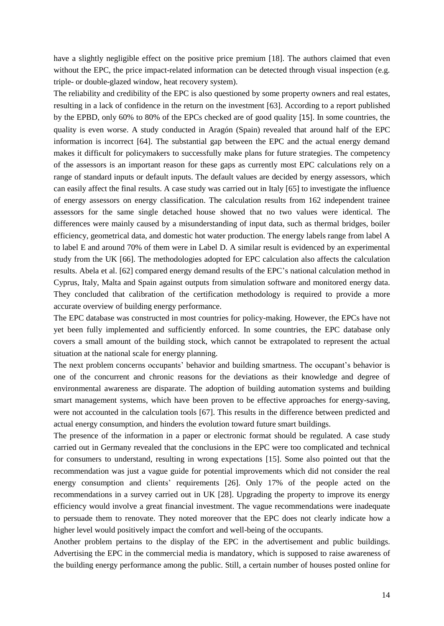have a slightly negligible effect on the positive price premium [18]. The authors claimed that even without the EPC, the price impact-related information can be detected through visual inspection (e.g. triple- or double-glazed window, heat recovery system).

The reliability and credibility of the EPC is also questioned by some property owners and real estates, resulting in a lack of confidence in the return on the investment [63]. According to a report published by the EPBD, only 60% to 80% of the EPCs checked are of good quality [15]. In some countries, the quality is even worse. A study conducted in Aragón (Spain) revealed that around half of the EPC information is incorrect [64]. The substantial gap between the EPC and the actual energy demand makes it difficult for policymakers to successfully make plans for future strategies. The competency of the assessors is an important reason for these gaps as currently most EPC calculations rely on a range of standard inputs or default inputs. The default values are decided by energy assessors, which can easily affect the final results. A case study was carried out in Italy [65] to investigate the influence of energy assessors on energy classification. The calculation results from 162 independent trainee assessors for the same single detached house showed that no two values were identical. The differences were mainly caused by a misunderstanding of input data, such as thermal bridges, boiler efficiency, geometrical data, and domestic hot water production. The energy labels range from label A to label E and around 70% of them were in Label D. A similar result is evidenced by an experimental study from the UK [66]. The methodologies adopted for EPC calculation also affects the calculation results. Abela et al. [62] compared energy demand results of the EPC's national calculation method in Cyprus, Italy, Malta and Spain against outputs from simulation software and monitored energy data. They concluded that calibration of the certification methodology is required to provide a more accurate overview of building energy performance.

The EPC database was constructed in most countries for policy-making. However, the EPCs have not yet been fully implemented and sufficiently enforced. In some countries, the EPC database only covers a small amount of the building stock, which cannot be extrapolated to represent the actual situation at the national scale for energy planning.

The next problem concerns occupants' behavior and building smartness. The occupant's behavior is one of the concurrent and chronic reasons for the deviations as their knowledge and degree of environmental awareness are disparate. The adoption of building automation systems and building smart management systems, which have been proven to be effective approaches for energy-saving, were not accounted in the calculation tools [67]. This results in the difference between predicted and actual energy consumption, and hinders the evolution toward future smart buildings.

The presence of the information in a paper or electronic format should be regulated. A case study carried out in Germany revealed that the conclusions in the EPC were too complicated and technical for consumers to understand, resulting in wrong expectations [15]. Some also pointed out that the recommendation was just a vague guide for potential improvements which did not consider the real energy consumption and clients' requirements [26]. Only 17% of the people acted on the recommendations in a survey carried out in UK [28]. Upgrading the property to improve its energy efficiency would involve a great financial investment. The vague recommendations were inadequate to persuade them to renovate. They noted moreover that the EPC does not clearly indicate how a higher level would positively impact the comfort and well-being of the occupants.

Another problem pertains to the display of the EPC in the advertisement and public buildings. Advertising the EPC in the commercial media is mandatory, which is supposed to raise awareness of the building energy performance among the public. Still, a certain number of houses posted online for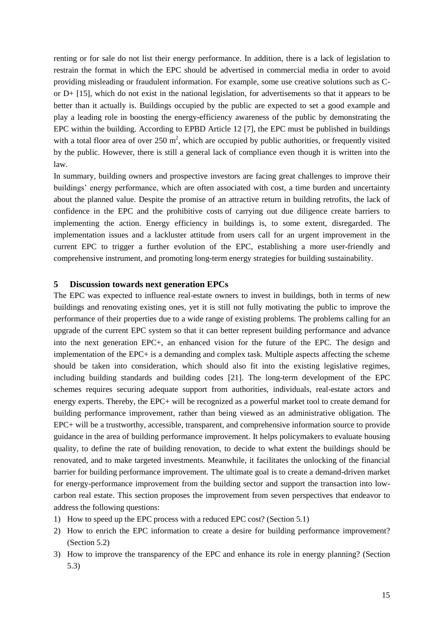renting or for sale do not list their energy performance. In addition, there is a lack of legislation to restrain the format in which the EPC should be advertised in commercial media in order to avoid providing misleading or fraudulent information. For example, some use creative solutions such as Cor D+ [15], which do not exist in the national legislation, for advertisements so that it appears to be better than it actually is. Buildings occupied by the public are expected to set a good example and play a leading role in boosting the energy-efficiency awareness of the public by demonstrating the EPC within the building. According to EPBD Article 12 [7], the EPC must be published in buildings with a total floor area of over  $250 \text{ m}^2$ , which are occupied by public authorities, or frequently visited by the public. However, there is still a general lack of compliance even though it is written into the law.

In summary, building owners and prospective investors are facing great challenges to improve their buildings' energy performance, which are often associated with cost, a time burden and uncertainty about the planned value. Despite the promise of an attractive return in building retrofits, the lack of confidence in the EPC and the prohibitive costs of carrying out due diligence create barriers to implementing the action. Energy efficiency in buildings is, to some extent, disregarded. The implementation issues and a lackluster attitude from users call for an urgent improvement in the current EPC to trigger a further evolution of the EPC, establishing a more user-friendly and comprehensive instrument, and promoting long-term energy strategies for building sustainability.

#### **5 Discussion towards next generation EPCs**

The EPC was expected to influence real-estate owners to invest in buildings, both in terms of new buildings and renovating existing ones, yet it is still not fully motivating the public to improve the performance of their properties due to a wide range of existing problems. The problems calling for an upgrade of the current EPC system so that it can better represent building performance and advance into the next generation EPC+, an enhanced vision for the future of the EPC. The design and implementation of the EPC+ is a demanding and complex task. Multiple aspects affecting the scheme should be taken into consideration, which should also fit into the existing legislative regimes, including building standards and building codes [21]. The long-term development of the EPC schemes requires securing adequate support from authorities, individuals, real-estate actors and energy experts. Thereby, the EPC+ will be recognized as a powerful market tool to create demand for building performance improvement, rather than being viewed as an administrative obligation. The EPC+ will be a trustworthy, accessible, transparent, and comprehensive information source to provide guidance in the area of building performance improvement. It helps policymakers to evaluate housing quality, to define the rate of building renovation, to decide to what extent the buildings should be renovated, and to make targeted investments. Meanwhile, it facilitates the unlocking of the financial barrier for building performance improvement. The ultimate goal is to create a demand-driven market for energy-performance improvement from the building sector and support the transaction into lowcarbon real estate. This section proposes the improvement from seven perspectives that endeavor to address the following questions:

- 1) How to speed up the EPC process with a reduced EPC cost? (Section [5.1\)](#page-16-0)
- 2) How to enrich the EPC information to create a desire for building performance improvement? (Section [5.2\)](#page-16-1)
- 3) How to improve the transparency of the EPC and enhance its role in energy planning? (Section [5.3\)](#page-16-2)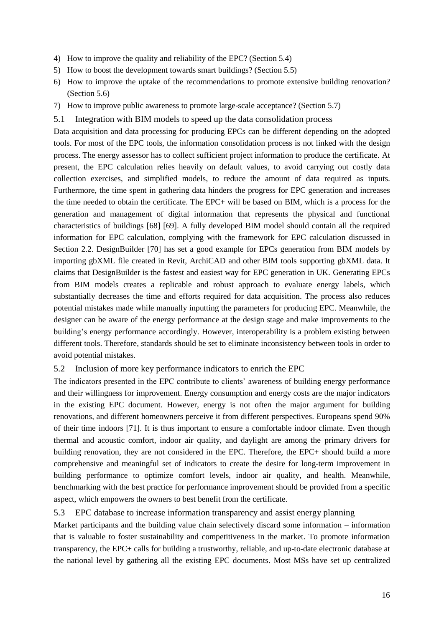- 4) How to improve the quality and reliability of the EPC? (Section [5.4\)](#page-17-0)
- 5) How to boost the development towards smart buildings? (Section [5.5\)](#page-19-0)
- 6) How to improve the uptake of the recommendations to promote extensive building renovation? (Section [5.6\)](#page-20-0)
- 7) How to improve public awareness to promote large-scale acceptance? (Section [5.7\)](#page-20-1)
- <span id="page-16-0"></span>5.1 Integration with BIM models to speed up the data consolidation process

Data acquisition and data processing for producing EPCs can be different depending on the adopted tools. For most of the EPC tools, the information consolidation process is not linked with the design process. The energy assessor has to collect sufficient project information to produce the certificate. At present, the EPC calculation relies heavily on default values, to avoid carrying out costly data collection exercises, and simplified models, to reduce the amount of data required as inputs. Furthermore, the time spent in gathering data hinders the progress for EPC generation and increases the time needed to obtain the certificate. The EPC+ will be based on BIM, which is a process for the generation and management of digital information that represents the physical and functional characteristics of buildings [68] [69]. A fully developed BIM model should contain all the required information for EPC calculation, complying with the framework for EPC calculation discussed in Section 2.2. DesignBuilder [70] has set a good example for EPCs generation from BIM models by importing gbXML file created in Revit, ArchiCAD and other BIM tools supporting gbXML data. It claims that DesignBuilder is the fastest and easiest way for EPC generation in UK. Generating EPCs from BIM models creates a replicable and robust approach to evaluate energy labels, which substantially decreases the time and efforts required for data acquisition. The process also reduces potential mistakes made while manually inputting the parameters for producing EPC. Meanwhile, the designer can be aware of the energy performance at the design stage and make improvements to the building's energy performance accordingly. However, interoperability is a problem existing between different tools. Therefore, standards should be set to eliminate inconsistency between tools in order to avoid potential mistakes.

#### <span id="page-16-1"></span>5.2 Inclusion of more key performance indicators to enrich the EPC

The indicators presented in the EPC contribute to clients' awareness of building energy performance and their willingness for improvement. Energy consumption and energy costs are the major indicators in the existing EPC document. However, energy is not often the major argument for building renovations, and different homeowners perceive it from different perspectives. Europeans spend 90% of their time indoors [71]. It is thus important to ensure a comfortable indoor climate. Even though thermal and acoustic comfort, indoor air quality, and daylight are among the primary drivers for building renovation, they are not considered in the EPC. Therefore, the EPC+ should build a more comprehensive and meaningful set of indicators to create the desire for long-term improvement in building performance to optimize comfort levels, indoor air quality, and health. Meanwhile, benchmarking with the best practice for performance improvement should be provided from a specific aspect, which empowers the owners to best benefit from the certificate.

# <span id="page-16-2"></span>5.3 EPC database to increase information transparency and assist energy planning

Market participants and the building value chain selectively discard some information – information that is valuable to foster sustainability and competitiveness in the market. To promote information transparency, the EPC+ calls for building a trustworthy, reliable, and up-to-date electronic database at the national level by gathering all the existing EPC documents. Most MSs have set up centralized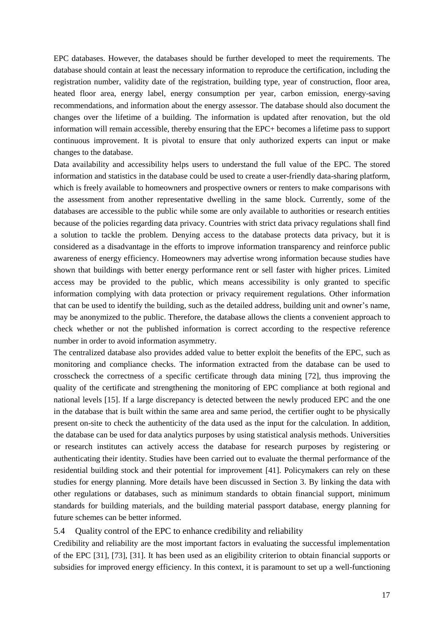EPC databases. However, the databases should be further developed to meet the requirements. The database should contain at least the necessary information to reproduce the certification, including the registration number, validity date of the registration, building type, year of construction, floor area, heated floor area, energy label, energy consumption per year, carbon emission, energy-saving recommendations, and information about the energy assessor. The database should also document the changes over the lifetime of a building. The information is updated after renovation, but the old information will remain accessible, thereby ensuring that the EPC+ becomes a lifetime pass to support continuous improvement. It is pivotal to ensure that only authorized experts can input or make changes to the database.

Data availability and accessibility helps users to understand the full value of the EPC. The stored information and statistics in the database could be used to create a user-friendly data-sharing platform, which is freely available to homeowners and prospective owners or renters to make comparisons with the assessment from another representative dwelling in the same block. Currently, some of the databases are accessible to the public while some are only available to authorities or research entities because of the policies regarding data privacy. Countries with strict data privacy regulations shall find a solution to tackle the problem. Denying access to the database protects data privacy, but it is considered as a disadvantage in the efforts to improve information transparency and reinforce public awareness of energy efficiency. Homeowners may advertise wrong information because studies have shown that buildings with better energy performance rent or sell faster with higher prices. Limited access may be provided to the public, which means accessibility is only granted to specific information complying with data protection or privacy requirement regulations. Other information that can be used to identify the building, such as the detailed address, building unit and owner's name, may be anonymized to the public. Therefore, the database allows the clients a convenient approach to check whether or not the published information is correct according to the respective reference number in order to avoid information asymmetry.

The centralized database also provides added value to better exploit the benefits of the EPC, such as monitoring and compliance checks. The information extracted from the database can be used to crosscheck the correctness of a specific certificate through data mining [72], thus improving the quality of the certificate and strengthening the monitoring of EPC compliance at both regional and national levels [15]. If a large discrepancy is detected between the newly produced EPC and the one in the database that is built within the same area and same period, the certifier ought to be physically present on-site to check the authenticity of the data used as the input for the calculation. In addition, the database can be used for data analytics purposes by using statistical analysis methods. Universities or research institutes can actively access the database for research purposes by registering or authenticating their identity. Studies have been carried out to evaluate the thermal performance of the residential building stock and their potential for improvement [41]. Policymakers can rely on these studies for energy planning. More details have been discussed in Section [3.](#page-10-2) By linking the data with other regulations or databases, such as minimum standards to obtain financial support, minimum standards for building materials, and the building material passport database, energy planning for future schemes can be better informed.

#### <span id="page-17-0"></span>5.4 Quality control of the EPC to enhance credibility and reliability

Credibility and reliability are the most important factors in evaluating the successful implementation of the EPC [31], [73], [31]. It has been used as an eligibility criterion to obtain financial supports or subsidies for improved energy efficiency. In this context, it is paramount to set up a well-functioning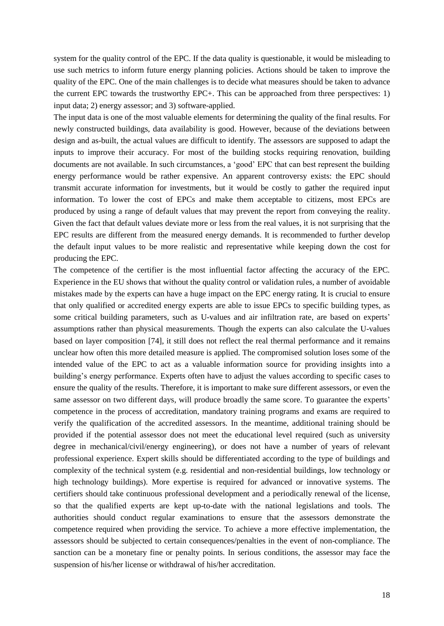system for the quality control of the EPC. If the data quality is questionable, it would be misleading to use such metrics to inform future energy planning policies. Actions should be taken to improve the quality of the EPC. One of the main challenges is to decide what measures should be taken to advance the current EPC towards the trustworthy EPC+. This can be approached from three perspectives: 1) input data; 2) energy assessor; and 3) software-applied.

The input data is one of the most valuable elements for determining the quality of the final results. For newly constructed buildings, data availability is good. However, because of the deviations between design and as-built, the actual values are difficult to identify. The assessors are supposed to adapt the inputs to improve their accuracy. For most of the building stocks requiring renovation, building documents are not available. In such circumstances, a 'good' EPC that can best represent the building energy performance would be rather expensive. An apparent controversy exists: the EPC should transmit accurate information for investments, but it would be costly to gather the required input information. To lower the cost of EPCs and make them acceptable to citizens, most EPCs are produced by using a range of default values that may prevent the report from conveying the reality. Given the fact that default values deviate more or less from the real values, it is not surprising that the EPC results are different from the measured energy demands. It is recommended to further develop the default input values to be more realistic and representative while keeping down the cost for producing the EPC.

The competence of the certifier is the most influential factor affecting the accuracy of the EPC. Experience in the EU shows that without the quality control or validation rules, a number of avoidable mistakes made by the experts can have a huge impact on the EPC energy rating. It is crucial to ensure that only qualified or accredited energy experts are able to issue EPCs to specific building types, as some critical building parameters, such as U-values and air infiltration rate, are based on experts' assumptions rather than physical measurements. Though the experts can also calculate the U-values based on layer composition [74], it still does not reflect the real thermal performance and it remains unclear how often this more detailed measure is applied. The compromised solution loses some of the intended value of the EPC to act as a valuable information source for providing insights into a building's energy performance. Experts often have to adjust the values according to specific cases to ensure the quality of the results. Therefore, it is important to make sure different assessors, or even the same assessor on two different days, will produce broadly the same score. To guarantee the experts' competence in the process of accreditation, mandatory training programs and exams are required to verify the qualification of the accredited assessors. In the meantime, additional training should be provided if the potential assessor does not meet the educational level required (such as university degree in mechanical/civil/energy engineering), or does not have a number of years of relevant professional experience. Expert skills should be differentiated according to the type of buildings and complexity of the technical system (e.g. residential and non-residential buildings, low technology or high technology buildings). More expertise is required for advanced or innovative systems. The certifiers should take continuous professional development and a periodically renewal of the license, so that the qualified experts are kept up-to-date with the national legislations and tools. The authorities should conduct regular examinations to ensure that the assessors demonstrate the competence required when providing the service. To achieve a more effective implementation, the assessors should be subjected to certain consequences/penalties in the event of non-compliance. The sanction can be a monetary fine or penalty points. In serious conditions, the assessor may face the suspension of his/her license or withdrawal of his/her accreditation.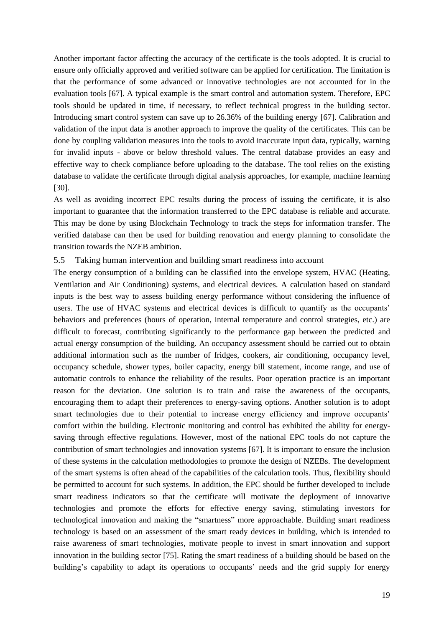Another important factor affecting the accuracy of the certificate is the tools adopted. It is crucial to ensure only officially approved and verified software can be applied for certification. The limitation is that the performance of some advanced or innovative technologies are not accounted for in the evaluation tools [67]. A typical example is the smart control and automation system. Therefore, EPC tools should be updated in time, if necessary, to reflect technical progress in the building sector. Introducing smart control system can save up to 26.36% of the building energy [67]. Calibration and validation of the input data is another approach to improve the quality of the certificates. This can be done by coupling validation measures into the tools to avoid inaccurate input data, typically, warning for invalid inputs - above or below threshold values. The central database provides an easy and effective way to check compliance before uploading to the database. The tool relies on the existing database to validate the certificate through digital analysis approaches, for example, machine learning [30].

As well as avoiding incorrect EPC results during the process of issuing the certificate, it is also important to guarantee that the information transferred to the EPC database is reliable and accurate. This may be done by using Blockchain Technology to track the steps for information transfer. The verified database can then be used for building renovation and energy planning to consolidate the transition towards the NZEB ambition.

#### <span id="page-19-0"></span>5.5 Taking human intervention and building smart readiness into account

The energy consumption of a building can be classified into the envelope system, HVAC (Heating, Ventilation and Air Conditioning) systems, and electrical devices. A calculation based on standard inputs is the best way to assess building energy performance without considering the influence of users. The use of HVAC systems and electrical devices is difficult to quantify as the occupants' behaviors and preferences (hours of operation, internal temperature and control strategies, etc.) are difficult to forecast, contributing significantly to the performance gap between the predicted and actual energy consumption of the building. An occupancy assessment should be carried out to obtain additional information such as the number of fridges, cookers, air conditioning, occupancy level, occupancy schedule, shower types, boiler capacity, energy bill statement, income range, and use of automatic controls to enhance the reliability of the results. Poor operation practice is an important reason for the deviation. One solution is to train and raise the awareness of the occupants, encouraging them to adapt their preferences to energy-saving options. Another solution is to adopt smart technologies due to their potential to increase energy efficiency and improve occupants' comfort within the building. Electronic monitoring and control has exhibited the ability for energysaving through effective regulations. However, most of the national EPC tools do not capture the contribution of smart technologies and innovation systems [67]. It is important to ensure the inclusion of these systems in the calculation methodologies to promote the design of NZEBs. The development of the smart systems is often ahead of the capabilities of the calculation tools. Thus, flexibility should be permitted to account for such systems. In addition, the EPC should be further developed to include smart readiness indicators so that the certificate will motivate the deployment of innovative technologies and promote the efforts for effective energy saving, stimulating investors for technological innovation and making the "smartness" more approachable. Building smart readiness technology is based on an assessment of the smart ready devices in building, which is intended to raise awareness of smart technologies, motivate people to invest in smart innovation and support innovation in the building sector [75]. Rating the smart readiness of a building should be based on the building's capability to adapt its operations to occupants' needs and the grid supply for energy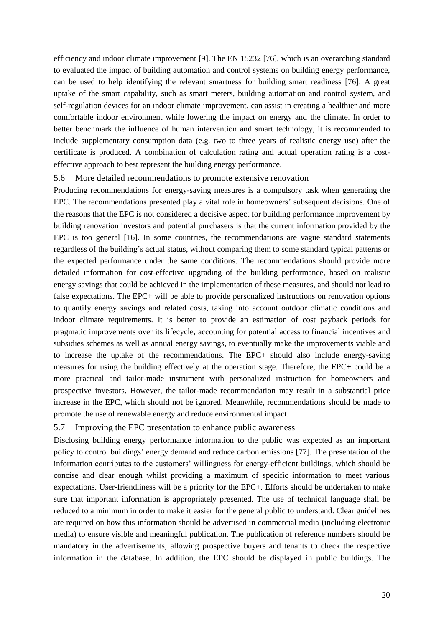efficiency and indoor climate improvement [9]. The EN 15232 [76], which is an overarching standard to evaluated the impact of building automation and control systems on building energy performance, can be used to help identifying the relevant smartness for building smart readiness [76]. A great uptake of the smart capability, such as smart meters, building automation and control system, and self-regulation devices for an indoor climate improvement, can assist in creating a healthier and more comfortable indoor environment while lowering the impact on energy and the climate. In order to better benchmark the influence of human intervention and smart technology, it is recommended to include supplementary consumption data (e.g. two to three years of realistic energy use) after the certificate is produced. A combination of calculation rating and actual operation rating is a costeffective approach to best represent the building energy performance.

# <span id="page-20-0"></span>5.6 More detailed recommendations to promote extensive renovation

Producing recommendations for energy-saving measures is a compulsory task when generating the EPC. The recommendations presented play a vital role in homeowners' subsequent decisions. One of the reasons that the EPC is not considered a decisive aspect for building performance improvement by building renovation investors and potential purchasers is that the current information provided by the EPC is too general [16]. In some countries, the recommendations are vague standard statements regardless of the building's actual status, without comparing them to some standard typical patterns or the expected performance under the same conditions. The recommendations should provide more detailed information for cost-effective upgrading of the building performance, based on realistic energy savings that could be achieved in the implementation of these measures, and should not lead to false expectations. The EPC+ will be able to provide personalized instructions on renovation options to quantify energy savings and related costs, taking into account outdoor climatic conditions and indoor climate requirements. It is better to provide an estimation of cost payback periods for pragmatic improvements over its lifecycle, accounting for potential access to financial incentives and subsidies schemes as well as annual energy savings, to eventually make the improvements viable and to increase the uptake of the recommendations. The EPC+ should also include energy-saving measures for using the building effectively at the operation stage. Therefore, the EPC+ could be a more practical and tailor-made instrument with personalized instruction for homeowners and prospective investors. However, the tailor-made recommendation may result in a substantial price increase in the EPC, which should not be ignored. Meanwhile, recommendations should be made to promote the use of renewable energy and reduce environmental impact.

#### <span id="page-20-1"></span>5.7 Improving the EPC presentation to enhance public awareness

Disclosing building energy performance information to the public was expected as an important policy to control buildings' energy demand and reduce carbon emissions [77]. The presentation of the information contributes to the customers' willingness for energy-efficient buildings, which should be concise and clear enough whilst providing a maximum of specific information to meet various expectations. User-friendliness will be a priority for the EPC+. Efforts should be undertaken to make sure that important information is appropriately presented. The use of technical language shall be reduced to a minimum in order to make it easier for the general public to understand. Clear guidelines are required on how this information should be advertised in commercial media (including electronic media) to ensure visible and meaningful publication. The publication of reference numbers should be mandatory in the advertisements, allowing prospective buyers and tenants to check the respective information in the database. In addition, the EPC should be displayed in public buildings. The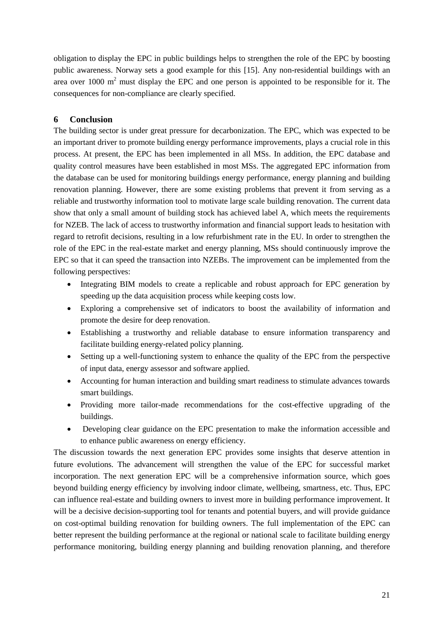obligation to display the EPC in public buildings helps to strengthen the role of the EPC by boosting public awareness. Norway sets a good example for this [15]. Any non-residential buildings with an area over 1000  $m<sup>2</sup>$  must display the EPC and one person is appointed to be responsible for it. The consequences for non-compliance are clearly specified.

# **6 Conclusion**

The building sector is under great pressure for decarbonization. The EPC, which was expected to be an important driver to promote building energy performance improvements, plays a crucial role in this process. At present, the EPC has been implemented in all MSs. In addition, the EPC database and quality control measures have been established in most MSs. The aggregated EPC information from the database can be used for monitoring buildings energy performance, energy planning and building renovation planning. However, there are some existing problems that prevent it from serving as a reliable and trustworthy information tool to motivate large scale building renovation. The current data show that only a small amount of building stock has achieved label A, which meets the requirements for NZEB. The lack of access to trustworthy information and financial support leads to hesitation with regard to retrofit decisions, resulting in a low refurbishment rate in the EU. In order to strengthen the role of the EPC in the real-estate market and energy planning, MSs should continuously improve the EPC so that it can speed the transaction into NZEBs. The improvement can be implemented from the following perspectives:

- Integrating BIM models to create a replicable and robust approach for EPC generation by speeding up the data acquisition process while keeping costs low.
- Exploring a comprehensive set of indicators to boost the availability of information and promote the desire for deep renovation.
- Establishing a trustworthy and reliable database to ensure information transparency and facilitate building energy-related policy planning.
- Setting up a well-functioning system to enhance the quality of the EPC from the perspective of input data, energy assessor and software applied.
- Accounting for human interaction and building smart readiness to stimulate advances towards smart buildings.
- Providing more tailor-made recommendations for the cost-effective upgrading of the buildings.
- Developing clear guidance on the EPC presentation to make the information accessible and to enhance public awareness on energy efficiency.

The discussion towards the next generation EPC provides some insights that deserve attention in future evolutions. The advancement will strengthen the value of the EPC for successful market incorporation. The next generation EPC will be a comprehensive information source, which goes beyond building energy efficiency by involving indoor climate, wellbeing, smartness, etc. Thus, EPC can influence real-estate and building owners to invest more in building performance improvement. It will be a decisive decision-supporting tool for tenants and potential buyers, and will provide guidance on cost-optimal building renovation for building owners. The full implementation of the EPC can better represent the building performance at the regional or national scale to facilitate building energy performance monitoring, building energy planning and building renovation planning, and therefore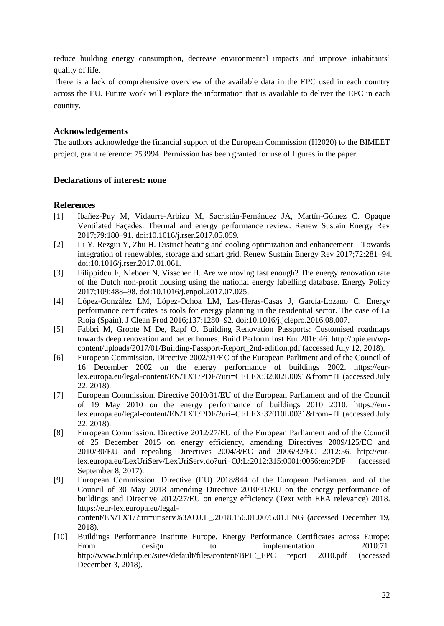reduce building energy consumption, decrease environmental impacts and improve inhabitants' quality of life.

There is a lack of comprehensive overview of the available data in the EPC used in each country across the EU. Future work will explore the information that is available to deliver the EPC in each country.

# **Acknowledgements**

The authors acknowledge the financial support of the European Commission (H2020) to the BIMEET project, grant reference: 753994. Permission has been granted for use of figures in the paper.

# **Declarations of interest: none**

# **References**

- [1] Ibañez-Puy M, Vidaurre-Arbizu M, Sacristán-Fernández JA, Martín-Gómez C. Opaque Ventilated Façades: Thermal and energy performance review. Renew Sustain Energy Rev 2017;79:180–91. doi:10.1016/j.rser.2017.05.059.
- [2] Li Y, Rezgui Y, Zhu H. District heating and cooling optimization and enhancement Towards integration of renewables, storage and smart grid. Renew Sustain Energy Rev 2017;72:281–94. doi:10.1016/j.rser.2017.01.061.
- [3] Filippidou F, Nieboer N, Visscher H. Are we moving fast enough? The energy renovation rate of the Dutch non-profit housing using the national energy labelling database. Energy Policy 2017;109:488–98. doi:10.1016/j.enpol.2017.07.025.
- [4] López-González LM, López-Ochoa LM, Las-Heras-Casas J, García-Lozano C. Energy performance certificates as tools for energy planning in the residential sector. The case of La Rioja (Spain). J Clean Prod 2016;137:1280–92. doi:10.1016/j.jclepro.2016.08.007.
- [5] Fabbri M, Groote M De, Rapf O. Building Renovation Passports: Customised roadmaps towards deep renovation and better homes. Build Perform Inst Eur 2016:46. http://bpie.eu/wpcontent/uploads/2017/01/Building-Passport-Report\_2nd-edition.pdf (accessed July 12, 2018).
- [6] European Commission. Directive 2002/91/EC of the European Parliment and of the Council of 16 December 2002 on the energy performance of buildings 2002. https://eurlex.europa.eu/legal-content/EN/TXT/PDF/?uri=CELEX:32002L0091&from=IT (accessed July 22, 2018).
- [7] European Commission. Directive 2010/31/EU of the European Parliament and of the Council of 19 May 2010 on the energy performance of buildings 2010 2010. https://eurlex.europa.eu/legal-content/EN/TXT/PDF/?uri=CELEX:32010L0031&from=IT (accessed July 22, 2018).
- [8] European Commission. Directive 2012/27/EU of the European Parliament and of the Council of 25 December 2015 on energy efficiency, amending Directives 2009/125/EC and 2010/30/EU and repealing Directives 2004/8/EC and 2006/32/EC 2012:56. http://eurlex.europa.eu/LexUriServ/LexUriServ.do?uri=OJ:L:2012:315:0001:0056:en:PDF (accessed September 8, 2017).
- [9] European Commission. Directive (EU) 2018/844 of the European Parliament and of the Council of 30 May 2018 amending Directive 2010/31/EU on the energy performance of buildings and Directive 2012/27/EU on energy efficiency (Text with EEA relevance) 2018. https://eur-lex.europa.eu/legalcontent/EN/TXT/?uri=uriserv%3AOJ.L\_.2018.156.01.0075.01.ENG (accessed December 19,
- 2018). [10] Buildings Performance Institute Europe. Energy Performance Certificates across Europe:
- From design to implementation 2010:71. http://www.buildup.eu/sites/default/files/content/BPIE\_EPC report 2010.pdf (accessed December 3, 2018).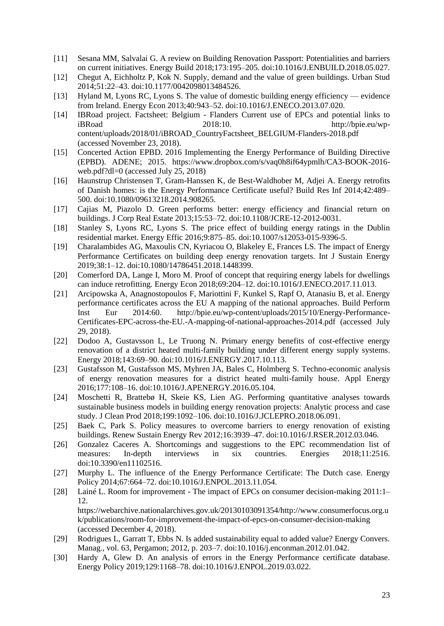- [11] Sesana MM, Salvalai G. A review on Building Renovation Passport: Potentialities and barriers on current initiatives. Energy Build 2018;173:195–205. doi:10.1016/J.ENBUILD.2018.05.027.
- [12] Chegut A, Eichholtz P, Kok N. Supply, demand and the value of green buildings. Urban Stud 2014;51:22–43. doi:10.1177/0042098013484526.
- [13] Hyland M, Lyons RC, Lyons S. The value of domestic building energy efficiency evidence from Ireland. Energy Econ 2013;40:943–52. doi:10.1016/J.ENECO.2013.07.020.
- [14] IBRoad project. Factsheet: Belgium Flanders Current use of EPCs and potential links to iBRoad 2018:10. http://bpie.eu/wpcontent/uploads/2018/01/iBROAD\_CountryFactsheet\_BELGIUM-Flanders-2018.pdf (accessed November 23, 2018).
- [15] Concerted Action EPBD. 2016 Implementing the Energy Performance of Building Directive (EPBD). ADENE; 2015. https://www.dropbox.com/s/vaq0h8if64ypmlh/CA3-BOOK-2016 web.pdf?dl=0 (accessed July 25, 2018)
- [16] Haunstrup Christensen T, Gram-Hanssen K, de Best-Waldhober M, Adjei A. Energy retrofits of Danish homes: is the Energy Performance Certificate useful? Build Res Inf 2014;42:489– 500. doi:10.1080/09613218.2014.908265.
- [17] Cajias M, Piazolo D. Green performs better: energy efficiency and financial return on buildings. J Corp Real Estate 2013;15:53–72. doi:10.1108/JCRE-12-2012-0031.
- [18] Stanley S, Lyons RC, Lyons S. The price effect of building energy ratings in the Dublin residential market. Energy Effic 2016;9:875–85. doi:10.1007/s12053-015-9396-5.
- [19] Charalambides AG, Maxoulis CN, Kyriacou O, Blakeley E, Frances LS. The impact of Energy Performance Certificates on building deep energy renovation targets. Int J Sustain Energy 2019;38:1–12. doi:10.1080/14786451.2018.1448399.
- [20] Comerford DA, Lange I, Moro M. Proof of concept that requiring energy labels for dwellings can induce retrofitting. Energy Econ 2018;69:204–12. doi:10.1016/J.ENECO.2017.11.013.
- [21] Arcipowska A, Anagnostopoulos F, Mariottini F, Kunkel S, Rapf O, Atanasiu B, et al. Energy performance certificates across the EU A mapping of the national approaches. Build Perform Inst Eur 2014:60. http://bpie.eu/wp-content/uploads/2015/10/Energy-Performance-Certificates-EPC-across-the-EU.-A-mapping-of-national-approaches-2014.pdf (accessed July 29, 2018).
- [22] Dodoo A, Gustavsson L, Le Truong N. Primary energy benefits of cost-effective energy renovation of a district heated multi-family building under different energy supply systems. Energy 2018;143:69–90. doi:10.1016/J.ENERGY.2017.10.113.
- [23] Gustafsson M, Gustafsson MS, Myhren JA, Bales C, Holmberg S. Techno-economic analysis of energy renovation measures for a district heated multi-family house. Appl Energy 2016;177:108–16. doi:10.1016/J.APENERGY.2016.05.104.
- [24] Moschetti R, Brattebø H, Skeie KS, Lien AG. Performing quantitative analyses towards sustainable business models in building energy renovation projects: Analytic process and case study. J Clean Prod 2018;199:1092–106. doi:10.1016/J.JCLEPRO.2018.06.091.
- [25] Baek C, Park S. Policy measures to overcome barriers to energy renovation of existing buildings. Renew Sustain Energy Rev 2012;16:3939–47. doi:10.1016/J.RSER.2012.03.046.
- [26] Gonzalez Caceres A. Shortcomings and suggestions to the EPC recommendation list of measures: In-depth interviews in six countries. Energies 2018;11:2516. doi:10.3390/en11102516.
- [27] Murphy L. The influence of the Energy Performance Certificate: The Dutch case. Energy Policy 2014;67:664–72. doi:10.1016/J.ENPOL.2013.11.054.
- [28] Lainé L. Room for improvement The impact of EPCs on consumer decision-making 2011:1– 12. https://webarchive.nationalarchives.gov.uk/20130103091354/http://www.consumerfocus.org.u k/publications/room-for-improvement-the-impact-of-epcs-on-consumer-decision-making (accessed December 4, 2018).
- [29] Rodrigues L, Garratt T, Ebbs N. Is added sustainability equal to added value? Energy Convers. Manag., vol. 63, Pergamon; 2012, p. 203–7. doi:10.1016/j.enconman.2012.01.042.
- [30] Hardy A, Glew D. An analysis of errors in the Energy Performance certificate database. Energy Policy 2019;129:1168–78. doi:10.1016/J.ENPOL.2019.03.022.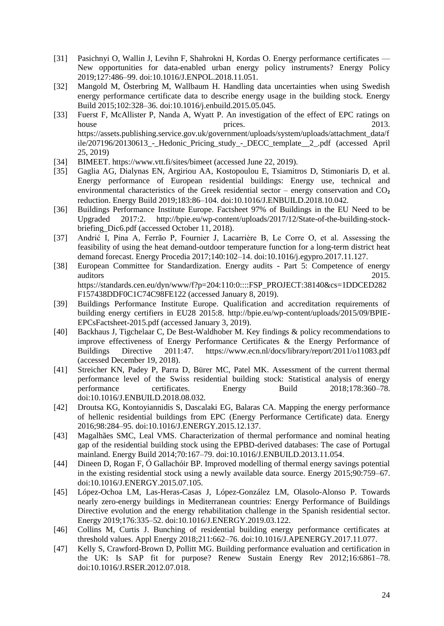- [31] Pasichnyi O, Wallin J, Levihn F, Shahrokni H, Kordas O. Energy performance certificates New opportunities for data-enabled urban energy policy instruments? Energy Policy 2019;127:486–99. doi:10.1016/J.ENPOL.2018.11.051.
- [32] Mangold M, Österbring M, Wallbaum H. Handling data uncertainties when using Swedish energy performance certificate data to describe energy usage in the building stock. Energy Build 2015;102:328–36. doi:10.1016/j.enbuild.2015.05.045.
- [33] Fuerst F, McAllister P, Nanda A, Wyatt P. An investigation of the effect of EPC ratings on house prices. 2013. https://assets.publishing.service.gov.uk/government/uploads/system/uploads/attachment\_data/f ile/207196/20130613\_-\_Hedonic\_Pricing\_study\_-\_DECC\_template\_\_2\_.pdf (accessed April 25, 2019)
- [34] BIMEET. https://www.vtt.fi/sites/bimeet (accessed June 22, 2019).
- [35] Gaglia AG, Dialynas EN, Argiriou AA, Kostopoulou E, Tsiamitros D, Stimoniaris D, et al. Energy performance of European residential buildings: Energy use, technical and environmental characteristics of the Greek residential sector – energy conservation and CO<sub>2</sub> reduction. Energy Build 2019;183:86–104. doi:10.1016/J.ENBUILD.2018.10.042.
- [36] Buildings Performance Institute Europe. Factsheet 97% of Buildings in the EU Need to be Upgraded 2017:2. http://bpie.eu/wp-content/uploads/2017/12/State-of-the-building-stockbriefing\_Dic6.pdf (accessed October 11, 2018).
- [37] Andrić I, Pina A, Ferrão P, Fournier J, Lacarrière B, Le Corre O, et al. Assessing the feasibility of using the heat demand-outdoor temperature function for a long-term district heat demand forecast. Energy Procedia 2017;140:102–14. doi:10.1016/j.egypro.2017.11.127.
- [38] European Committee for Standardization. Energy audits Part 5: Competence of energy auditors 2015. https://standards.cen.eu/dyn/www/f?p=204:110:0::::FSP\_PROJECT:38140&cs=1DDCED282 F157438DDF0C1C74C98FE122 (accessed January 8, 2019).
- [39] Buildings Performance Institute Europe. Qualification and accreditation requirements of building energy certifiers in EU28 2015:8. http://bpie.eu/wp-content/uploads/2015/09/BPIE-EPCsFactsheet-2015.pdf (accessed January 3, 2019).
- [40] Backhaus J, Tigchelaar C, De Best-Waldhober M. Key findings & policy recommendations to improve effectiveness of Energy Performance Certificates & the Energy Performance of Buildings Directive 2011:47. https://www.ecn.nl/docs/library/report/2011/o11083.pdf (accessed December 19, 2018).
- [41] Streicher KN, Padey P, Parra D, Bürer MC, Patel MK. Assessment of the current thermal performance level of the Swiss residential building stock: Statistical analysis of energy performance certificates. Energy Build 2018;178:360–78. doi:10.1016/J.ENBUILD.2018.08.032.
- [42] Droutsa KG, Kontoyiannidis S, Dascalaki EG, Balaras CA. Mapping the energy performance of hellenic residential buildings from EPC (Energy Performance Certificate) data. Energy 2016;98:284–95. doi:10.1016/J.ENERGY.2015.12.137.
- [43] Magalhães SMC, Leal VMS. Characterization of thermal performance and nominal heating gap of the residential building stock using the EPBD-derived databases: The case of Portugal mainland. Energy Build 2014;70:167–79. doi:10.1016/J.ENBUILD.2013.11.054.
- [44] Dineen D, Rogan F, Ó Gallachóir BP. Improved modelling of thermal energy savings potential in the existing residential stock using a newly available data source. Energy 2015;90:759–67. doi:10.1016/J.ENERGY.2015.07.105.
- [45] López-Ochoa LM, Las-Heras-Casas J, López-González LM, Olasolo-Alonso P. Towards nearly zero-energy buildings in Mediterranean countries: Energy Performance of Buildings Directive evolution and the energy rehabilitation challenge in the Spanish residential sector. Energy 2019;176:335–52. doi:10.1016/J.ENERGY.2019.03.122.
- [46] Collins M, Curtis J. Bunching of residential building energy performance certificates at threshold values. Appl Energy 2018;211:662–76. doi:10.1016/J.APENERGY.2017.11.077.
- [47] Kelly S, Crawford-Brown D, Pollitt MG. Building performance evaluation and certification in the UK: Is SAP fit for purpose? Renew Sustain Energy Rev 2012;16:6861–78. doi:10.1016/J.RSER.2012.07.018.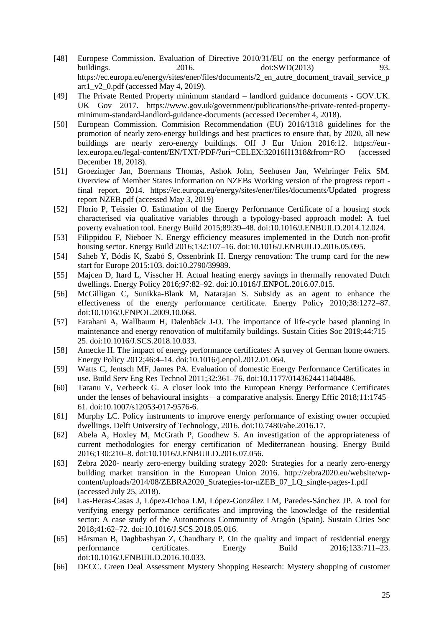- [48] Europese Commission. Evaluation of Directive 2010/31/EU on the energy performance of buildings. 2016. doi:SWD(2013) 93. https://ec.europa.eu/energy/sites/ener/files/documents/2\_en\_autre\_document\_travail\_service\_p art1\_v2\_0.pdf (accessed May 4, 2019).
- [49] The Private Rented Property minimum standard landlord guidance documents GOV.UK. UK Gov 2017. https://www.gov.uk/government/publications/the-private-rented-propertyminimum-standard-landlord-guidance-documents (accessed December 4, 2018).
- [50] European Commission. Commision Recommendation (EU) 2016/1318 guidelines for the promotion of nearly zero-energy buildings and best practices to ensure that, by 2020, all new buildings are nearly zero-energy buildings. Off J Eur Union 2016:12. https://eurlex.europa.eu/legal-content/EN/TXT/PDF/?uri=CELEX:32016H1318&from=RO (accessed December 18, 2018).
- [51] Groezinger Jan, Boermans Thomas, Ashok John, Seehusen Jan, Wehringer Felix SM. Overview of Member States information on NZEBs Working version of the progress report final report. 2014. https://ec.europa.eu/energy/sites/ener/files/documents/Updated progress report NZEB.pdf (accessed May 3, 2019)
- [52] Florio P, Teissier O. Estimation of the Energy Performance Certificate of a housing stock characterised via qualitative variables through a typology-based approach model: A fuel poverty evaluation tool. Energy Build 2015;89:39–48. doi:10.1016/J.ENBUILD.2014.12.024.
- [53] Filippidou F, Nieboer N. Energy efficiency measures implemented in the Dutch non-profit housing sector. Energy Build 2016;132:107–16. doi:10.1016/J.ENBUILD.2016.05.095.
- [54] Saheb Y, Bódis K, Szabó S, Ossenbrink H. Energy renovation: The trump card for the new start for Europe 2015:103. doi:10.2790/39989.
- [55] Majcen D, Itard L, Visscher H. Actual heating energy savings in thermally renovated Dutch dwellings. Energy Policy 2016;97:82–92. doi:10.1016/J.ENPOL.2016.07.015.
- [56] McGilligan C, Sunikka-Blank M, Natarajan S. Subsidy as an agent to enhance the effectiveness of the energy performance certificate. Energy Policy 2010;38:1272–87. doi:10.1016/J.ENPOL.2009.10.068.
- [57] Farahani A, Wallbaum H, Dalenbäck J-O. The importance of life-cycle based planning in maintenance and energy renovation of multifamily buildings. Sustain Cities Soc 2019;44:715– 25. doi:10.1016/J.SCS.2018.10.033.
- [58] Amecke H. The impact of energy performance certificates: A survey of German home owners. Energy Policy 2012;46:4–14. doi:10.1016/j.enpol.2012.01.064.
- [59] Watts C, Jentsch MF, James PA. Evaluation of domestic Energy Performance Certificates in use. Build Serv Eng Res Technol 2011;32:361–76. doi:10.1177/0143624411404486.
- [60] Taranu V, Verbeeck G. A closer look into the European Energy Performance Certificates under the lenses of behavioural insights—a comparative analysis. Energy Effic 2018;11:1745– 61. doi:10.1007/s12053-017-9576-6.
- [61] Murphy LC. Policy instruments to improve energy performance of existing owner occupied dwellings. Delft University of Technology, 2016. doi:10.7480/abe.2016.17.
- [62] Abela A, Hoxley M, McGrath P, Goodhew S. An investigation of the appropriateness of current methodologies for energy certification of Mediterranean housing. Energy Build 2016;130:210–8. doi:10.1016/J.ENBUILD.2016.07.056.
- [63] Zebra 2020- nearly zero-energy building strategy 2020: Strategies for a nearly zero-energy building market transition in the European Union 2016. http://zebra2020.eu/website/wpcontent/uploads/2014/08/ZEBRA2020\_Strategies-for-nZEB\_07\_LQ\_single-pages-1.pdf (accessed July 25, 2018).
- [64] Las-Heras-Casas J, López-Ochoa LM, López-González LM, Paredes-Sánchez JP. A tool for verifying energy performance certificates and improving the knowledge of the residential sector: A case study of the Autonomous Community of Aragón (Spain). Sustain Cities Soc 2018;41:62–72. doi:10.1016/J.SCS.2018.05.016.
- [65] Hårsman B, Daghbashyan Z, Chaudhary P. On the quality and impact of residential energy performance certificates. Energy Build 2016;133:711–23. doi:10.1016/J.ENBUILD.2016.10.033.
- [66] DECC. Green Deal Assessment Mystery Shopping Research: Mystery shopping of customer